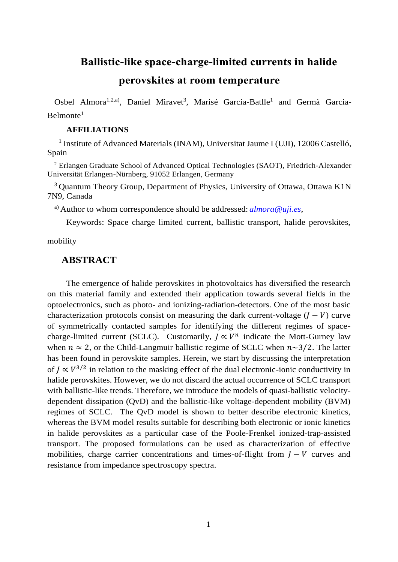## **Ballistic-like space-charge-limited currents in halide**

## **perovskites at room temperature**

Osbel Almora<sup>1,2,a)</sup>, Daniel Miravet<sup>3</sup>, Marisé García-Batlle<sup>1</sup> and Germà Garcia- $Belmonte<sup>1</sup>$ 

#### **AFFILIATIONS**

<sup>1</sup> Institute of Advanced Materials (INAM), Universitat Jaume I (UJI), 12006 Castelló, Spain

<sup>2</sup> Erlangen Graduate School of Advanced Optical Technologies (SAOT), Friedrich-Alexander Universität Erlangen-Nürnberg, 91052 Erlangen, Germany

<sup>3</sup> Quantum Theory Group, Department of Physics, University of Ottawa, Ottawa K1N 7N9, Canada

a) Author to whom correspondence should be addressed: *[almora@uji.es](mailto:almora@uji.es)*,

Keywords: Space charge limited current, ballistic transport, halide perovskites,

mobility

### **ABSTRACT**

The emergence of halide perovskites in photovoltaics has diversified the research on this material family and extended their application towards several fields in the optoelectronics, such as photo- and ionizing-radiation-detectors. One of the most basic characterization protocols consist on measuring the dark current-voltage  $(J - V)$  curve of symmetrically contacted samples for identifying the different regimes of spacecharge-limited current (SCLC). Customarily,  $J \propto V^n$  indicate the Mott-Gurney law when  $n \approx 2$ , or the Child-Langmuir ballistic regime of SCLC when  $n \sim 3/2$ . The latter has been found in perovskite samples. Herein, we start by discussing the interpretation of  $J \propto V^{3/2}$  in relation to the masking effect of the dual electronic-ionic conductivity in halide perovskites. However, we do not discard the actual occurrence of SCLC transport with ballistic-like trends. Therefore, we introduce the models of quasi-ballistic velocitydependent dissipation (QvD) and the ballistic-like voltage-dependent mobility (BVM) regimes of SCLC. The QvD model is shown to better describe electronic kinetics, whereas the BVM model results suitable for describing both electronic or ionic kinetics in halide perovskites as a particular case of the Poole-Frenkel ionized-trap-assisted transport. The proposed formulations can be used as characterization of effective mobilities, charge carrier concentrations and times-of-flight from  *curves and* resistance from impedance spectroscopy spectra.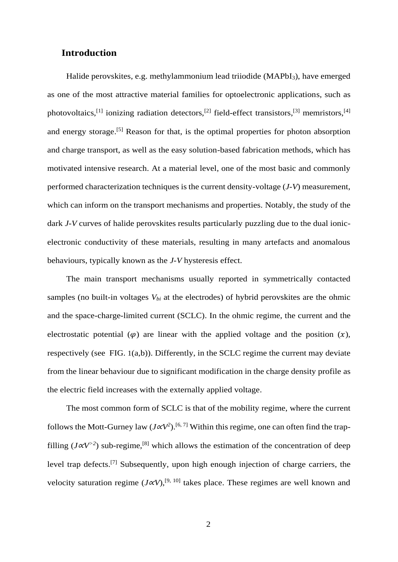### **Introduction**

Halide perovskites, e.g. methylammonium lead triiodide (MAPbI<sub>3</sub>), have emerged as one of the most attractive material families for optoelectronic applications, such as photovoltaics,<sup>[1]</sup> ionizing radiation detectors,<sup>[2]</sup> field-effect transistors,<sup>[3]</sup> memristors,<sup>[4]</sup> and energy storage.<sup>[5]</sup> Reason for that, is the optimal properties for photon absorption and charge transport, as well as the easy solution-based fabrication methods, which has motivated intensive research. At a material level, one of the most basic and commonly performed characterization techniques is the current density-voltage (*J-V*) measurement, which can inform on the transport mechanisms and properties. Notably, the study of the dark *J-V* curves of halide perovskites results particularly puzzling due to the dual ionicelectronic conductivity of these materials, resulting in many artefacts and anomalous behaviours, typically known as the *J-V* hysteresis effect.

The main transport mechanisms usually reported in symmetrically contacted samples (no built-in voltages  $V_{bi}$  at the electrodes) of hybrid perovskites are the ohmic and the space-charge-limited current (SCLC). In the ohmic regime, the current and the electrostatic potential  $(\varphi)$  are linear with the applied voltage and the position  $(x)$ , respectively (see [FIG.](#page-4-0) 1(a,b)). Differently, in the SCLC regime the current may deviate from the linear behaviour due to significant modification in the charge density profile as the electric field increases with the externally applied voltage.

The most common form of SCLC is that of the mobility regime, where the current follows the Mott-Gurney law  $(J \alpha V^2)$ .<sup>[6, 7]</sup> Within this regime, one can often find the trapfilling ( $J \alpha V$ <sup>>2</sup>) sub-regime,<sup>[8]</sup> which allows the estimation of the concentration of deep level trap defects.<sup>[7]</sup> Subsequently, upon high enough injection of charge carriers, the velocity saturation regime (*J*∝*V*), [9, 10] takes place. These regimes are well known and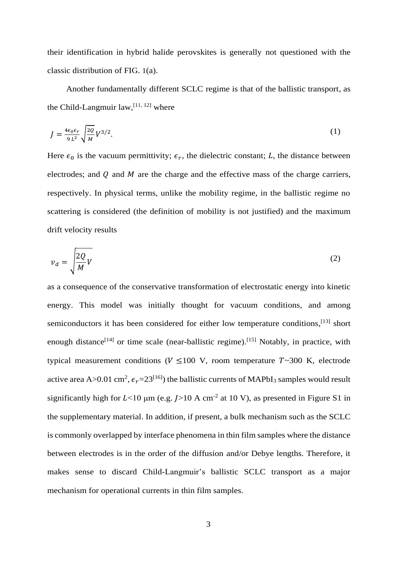their identification in hybrid halide perovskites is generally not questioned with the classic distribution of [FIG.](#page-4-0) 1(a).

Another fundamentally different SCLC regime is that of the ballistic transport, as the Child-Langmuir  $law$ ,  $[11, 12]$  where

<span id="page-2-1"></span>
$$
J = \frac{4\epsilon_0 \epsilon_r}{9 L^2} \sqrt{\frac{2Q}{M}} V^{3/2}.
$$
 (1)

Here  $\epsilon_0$  is the vacuum permittivity;  $\epsilon_r$ , the dielectric constant; L, the distance between electrodes; and  $Q$  and  $M$  are the charge and the effective mass of the charge carriers, respectively. In physical terms, unlike the mobility regime, in the ballistic regime no scattering is considered (the definition of mobility is not justified) and the maximum drift velocity results

<span id="page-2-0"></span>
$$
v_d = \sqrt{\frac{2Q}{M}}V
$$
 (2)

as a consequence of the conservative transformation of electrostatic energy into kinetic energy. This model was initially thought for vacuum conditions, and among semiconductors it has been considered for either low temperature conditions,<sup>[13]</sup> short enough distance<sup>[14]</sup> or time scale (near-ballistic regime).<sup>[15]</sup> Notably, in practice, with typical measurement conditions ( $V \le 100$  V, room temperature  $T \sim 300$  K, electrode active area A>0.01 cm<sup>2</sup>,  $\epsilon_r$ =23<sup>[16]</sup>) the ballistic currents of MAPbI<sub>3</sub> samples would result significantly high for  $L < 10 \mu m$  (e.g.  $J > 10 A cm^{-2}$  at 10 V), as presented in Figure S1 in the supplementary material. In addition, if present, a bulk mechanism such as the SCLC is commonly overlapped by interface phenomena in thin film samples where the distance between electrodes is in the order of the diffusion and/or Debye lengths. Therefore, it makes sense to discard Child-Langmuir's ballistic SCLC transport as a major mechanism for operational currents in thin film samples.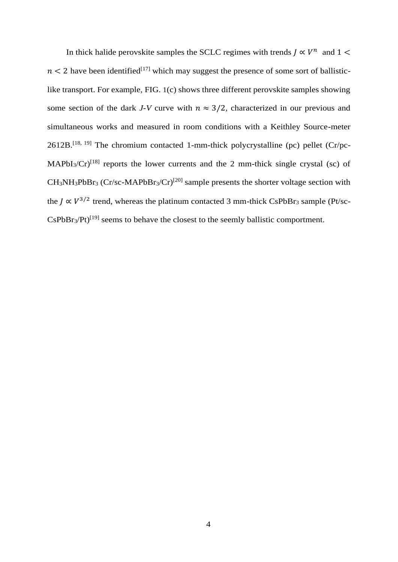In thick halide perovskite samples the SCLC regimes with trends  $J \propto V^n$  and  $1 \leq$  $n < 2$  have been identified<sup>[17]</sup> which may suggest the presence of some sort of ballisticlike transport. For example, [FIG.](#page-4-0) 1(c) shows three different perovskite samples showing some section of the dark *J-V* curve with  $n \approx 3/2$ , characterized in our previous and simultaneous works and measured in room conditions with a Keithley Source-meter 2612B.<sup>[18, 19]</sup> The chromium contacted 1-mm-thick polycrystalline (pc) pellet (Cr/pc-MAPbI<sub>3</sub>/Cr)<sup>[18]</sup> reports the lower currents and the 2 mm-thick single crystal (sc) of  $CH_3NH_3PbBr_3 (Cr/sc-MAPbBr_3/Cr)^{[20]}$  sample presents the shorter voltage section with the  $J \propto V^{3/2}$  trend, whereas the platinum contacted 3 mm-thick CsPbBr<sub>3</sub> sample (Pt/sc- $CsPbBr<sub>3</sub>/Pt)<sup>[19]</sup> seems to behave the closest to the seemingly ballistic component.$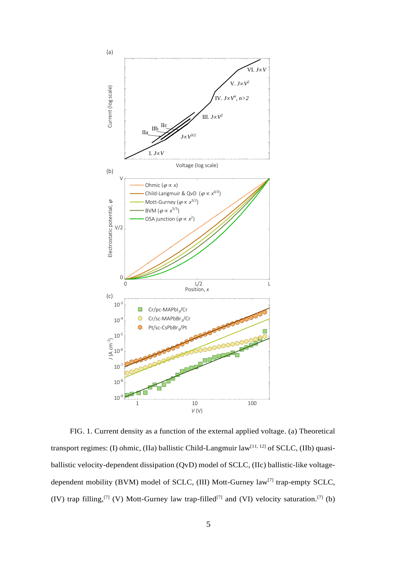

<span id="page-4-0"></span>FIG. 1. Current density as a function of the external applied voltage. (a) Theoretical transport regimes: (I) ohmic, (IIa) ballistic Child-Langmuir law<sup>[11, 12]</sup> of SCLC, (IIb) quasiballistic velocity-dependent dissipation (QvD) model of SCLC, (IIc) ballistic-like voltagedependent mobility (BVM) model of SCLC, (III) Mott-Gurney law<sup>[7]</sup> trap-empty SCLC, (IV) trap filling,<sup>[7]</sup> (V) Mott-Gurney law trap-filled<sup>[7]</sup> and (VI) velocity saturation.<sup>[7]</sup> (b)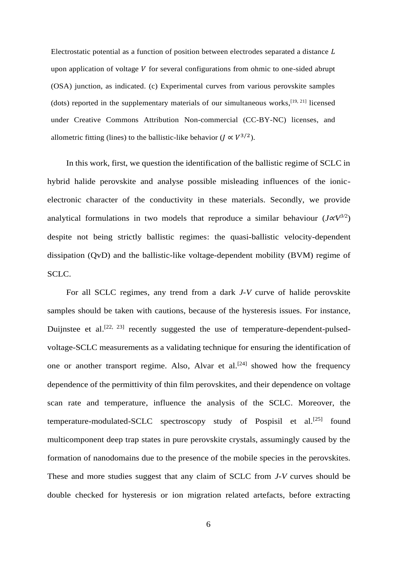Electrostatic potential as a function of position between electrodes separated a distance upon application of voltage  $V$  for several configurations from ohmic to one-sided abrupt (OSA) junction, as indicated. (c) Experimental curves from various perovskite samples (dots) reported in the supplementary materials of our simultaneous works,  $[19, 21]$  licensed under Creative Commons Attribution Non-commercial (CC-BY-NC) licenses, and allometric fitting (lines) to the ballistic-like behavior ( $J \propto V^{3/2}$ ).

In this work, first, we question the identification of the ballistic regime of SCLC in hybrid halide perovskite and analyse possible misleading influences of the ionicelectronic character of the conductivity in these materials. Secondly, we provide analytical formulations in two models that reproduce a similar behaviour  $(J \alpha V^{3/2})$ despite not being strictly ballistic regimes: the quasi-ballistic velocity-dependent dissipation (QvD) and the ballistic-like voltage-dependent mobility (BVM) regime of SCLC.

For all SCLC regimes, any trend from a dark *J-V* curve of halide perovskite samples should be taken with cautions, because of the hysteresis issues. For instance, Duijnstee et al.<sup>[22, 23]</sup> recently suggested the use of temperature-dependent-pulsedvoltage-SCLC measurements as a validating technique for ensuring the identification of one or another transport regime. Also, Alvar et al.<sup>[24]</sup> showed how the frequency dependence of the permittivity of thin film perovskites, and their dependence on voltage scan rate and temperature, influence the analysis of the SCLC. Moreover, the temperature-modulated-SCLC spectroscopy study of Pospisil et al.<sup>[25]</sup> found multicomponent deep trap states in pure perovskite crystals, assumingly caused by the formation of nanodomains due to the presence of the mobile species in the perovskites. These and more studies suggest that any claim of SCLC from *J-V* curves should be double checked for hysteresis or ion migration related artefacts, before extracting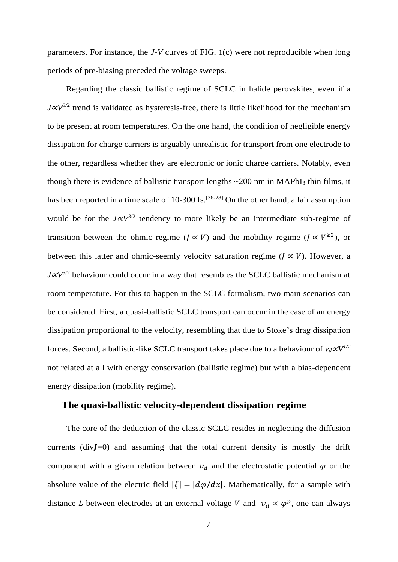parameters. For instance, the *J-V* curves of [FIG.](#page-4-0) 1(c) were not reproducible when long periods of pre-biasing preceded the voltage sweeps.

Regarding the classic ballistic regime of SCLC in halide perovskites, even if a *J∝V*<sup>3/2</sup> trend is validated as hysteresis-free, there is little likelihood for the mechanism to be present at room temperatures. On the one hand, the condition of negligible energy dissipation for charge carriers is arguably unrealistic for transport from one electrode to the other, regardless whether they are electronic or ionic charge carriers. Notably, even though there is evidence of ballistic transport lengths  $\sim$  200 nm in MAPbI<sub>3</sub> thin films, it has been reported in a time scale of 10-300 fs.<sup>[26-28]</sup> On the other hand, a fair assumption would be for the *J∝V*<sup>3/2</sup> tendency to more likely be an intermediate sub-regime of transition between the ohmic regime ( $J \propto V$ ) and the mobility regime ( $J \propto V^{22}$ ), or between this latter and ohmic-seemly velocity saturation regime ( $J \propto V$ ). However, a *J*∝*V*<sup>3/2</sup> behaviour could occur in a way that resembles the SCLC ballistic mechanism at room temperature. For this to happen in the SCLC formalism, two main scenarios can be considered. First, a quasi-ballistic SCLC transport can occur in the case of an energy dissipation proportional to the velocity, resembling that due to Stoke's drag dissipation forces. Second, a ballistic-like SCLC transport takes place due to a behaviour of  $v_d \alpha V^{1/2}$ not related at all with energy conservation (ballistic regime) but with a bias-dependent energy dissipation (mobility regime).

## **The quasi-ballistic velocity-dependent dissipation regime**

The core of the deduction of the classic SCLC resides in neglecting the diffusion currents ( $div J = 0$ ) and assuming that the total current density is mostly the drift component with a given relation between  $v_d$  and the electrostatic potential  $\varphi$  or the absolute value of the electric field  $|\xi| = |d\varphi/dx|$ . Mathematically, for a sample with distance *L* between electrodes at an external voltage *V* and  $v_d \propto \varphi^p$ , one can always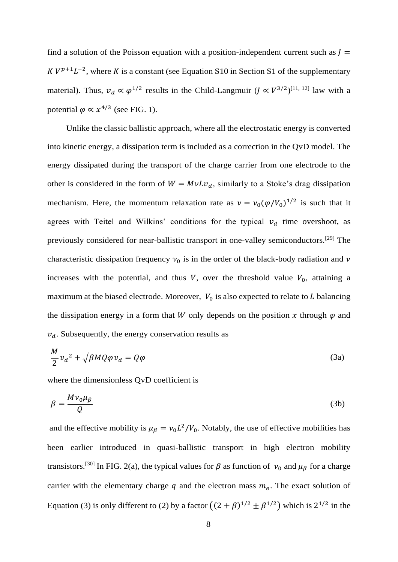find a solution of the Poisson equation with a position-independent current such as  $$  $K V^{p+1} L^{-2}$ , where K is a constant (see Equation S10 in Section S1 of the supplementary material). Thus,  $v_d \propto \varphi^{1/2}$  results in the Child-Langmuir  $(J \propto V^{3/2})^{[11, 12]}$  law with a potential  $\varphi \propto x^{4/3}$  (see [FIG.](#page-4-0) 1).

Unlike the classic ballistic approach, where all the electrostatic energy is converted into kinetic energy, a dissipation term is included as a correction in the QvD model. The energy dissipated during the transport of the charge carrier from one electrode to the other is considered in the form of  $W = MvLv_d$ , similarly to a Stoke's drag dissipation mechanism. Here, the momentum relaxation rate as  $v = v_0(\varphi/V_0)^{1/2}$  is such that it agrees with Teitel and Wilkins' conditions for the typical  $v_d$  time overshoot, as previously considered for near-ballistic transport in one-valley semiconductors.[29] The characteristic dissipation frequency  $v_0$  is in the order of the black-body radiation and  $v$ increases with the potential, and thus V, over the threshold value  $V_0$ , attaining a maximum at the biased electrode. Moreover,  $V_0$  is also expected to relate to  $L$  balancing the dissipation energy in a form that W only depends on the position x through  $\varphi$  and  $v_d$ . Subsequently, the energy conservation results as

<span id="page-7-0"></span>
$$
\frac{M}{2}v_d^2 + \sqrt{\beta M Q \varphi} v_d = Q \varphi \tag{3a}
$$

where the dimensionless QvD coefficient is

$$
\beta = \frac{Mv_0\mu_B}{Q} \tag{3b}
$$

and the effective mobility is  $\mu_{\beta} = v_0 L^2 / V_0$ . Notably, the use of effective mobilities has been earlier introduced in quasi-ballistic transport in high electron mobility transistors.<sup>[30]</sup> In [FIG.](#page-9-0) 2(a), the typical values for  $\beta$  as function of  $v_0$  and  $\mu_\beta$  for a charge carrier with the elementary charge  $q$  and the electron mass  $m_e$ . The exact solution of Equation [\(3\)](#page-7-0) is only different to [\(2\)](#page-2-0) by a factor  $((2 + \beta)^{1/2} \pm \beta^{1/2})$  which is  $2^{1/2}$  in the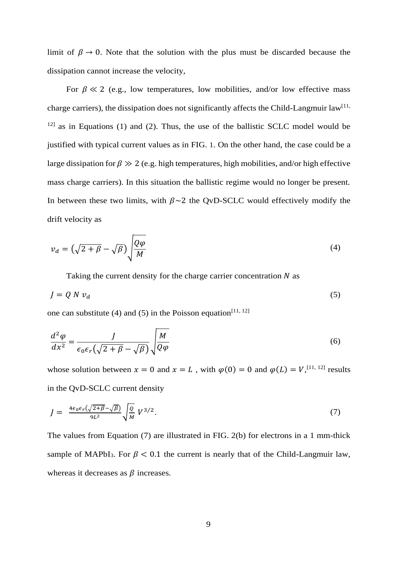limit of  $\beta \rightarrow 0$ . Note that the solution with the plus must be discarded because the dissipation cannot increase the velocity,

For  $\beta \ll 2$  (e.g., low temperatures, low mobilities, and/or low effective mass charge carriers), the dissipation does not significantly affects the Child-Langmuir law<sup>[11,</sup>  $12$ ] as in Equations [\(1\)](#page-2-1) and [\(2\).](#page-2-0) Thus, the use of the ballistic SCLC model would be justified with typical current values as in [FIG.](#page-4-0) 1. On the other hand, the case could be a large dissipation for  $\beta \gg 2$  (e.g. high temperatures, high mobilities, and/or high effective mass charge carriers). In this situation the ballistic regime would no longer be present. In between these two limits, with  $\beta \sim 2$  the QvD-SCLC would effectively modify the drift velocity as

$$
v_d = \left(\sqrt{2 + \beta} - \sqrt{\beta}\right) \sqrt{\frac{Q\varphi}{M}}
$$
\n(4)

<span id="page-8-1"></span><span id="page-8-0"></span>Taking the current density for the charge carrier concentration  $N$  as

$$
J = Q N v_d \tag{5}
$$

one can substitute [\(4\)](#page-8-0) and [\(5\)](#page-8-1) in the Poisson equation<sup>[11, 12]</sup>

$$
\frac{d^2\varphi}{dx^2} = \frac{J}{\epsilon_0 \epsilon_r \left(\sqrt{2+\beta} - \sqrt{\beta}\right)} \sqrt{\frac{M}{Q\varphi}}
$$
(6)

whose solution between  $x = 0$  and  $x = L$ , with  $\varphi(0) = 0$  and  $\varphi(L) = V$ , <sup>[11, 12]</sup> results in the QvD-SCLC current density

<span id="page-8-2"></span>
$$
J = \frac{4\epsilon_0 \epsilon_r (\sqrt{2+\beta} - \sqrt{\beta})}{9L^2} \sqrt{\frac{Q}{M}} V^{3/2}.
$$
 (7)

The values from Equation [\(7\)](#page-8-2) are illustrated in [FIG.](#page-9-0) 2(b) for electrons in a 1 mm-thick sample of MAPbI<sub>3</sub>. For  $\beta$  < 0.1 the current is nearly that of the Child-Langmuir law, whereas it decreases as  $\beta$  increases.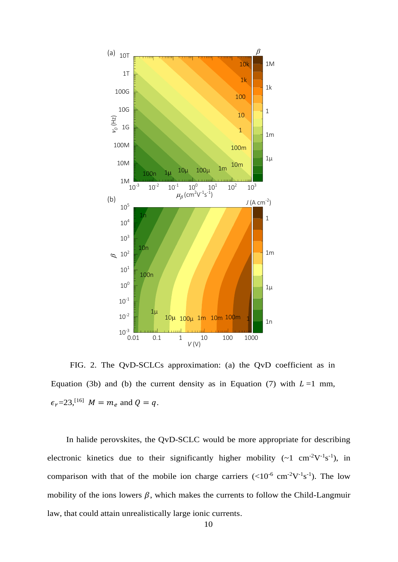

<span id="page-9-0"></span>FIG. 2. The QvD-SCLCs approximation: (a) the QvD coefficient as in Equation [\(3b](#page-7-0)) and (b) the current density as in Equation [\(7\)](#page-8-2) with  $L=1$  mm,  $\epsilon_r = 23$ , <sup>[16]</sup>  $M = m_e$  and  $Q = q$ .

In halide perovskites, the QvD-SCLC would be more appropriate for describing electronic kinetics due to their significantly higher mobility  $({\sim}1 \text{ cm}^{-2}V^{-1}s^{-1})$ , in comparison with that of the mobile ion charge carriers  $(<10^{-6}$  cm<sup>-2</sup>V<sup>-1</sup>s<sup>-1</sup>). The low mobility of the ions lowers  $\beta$ , which makes the currents to follow the Child-Langmuir law, that could attain unrealistically large ionic currents.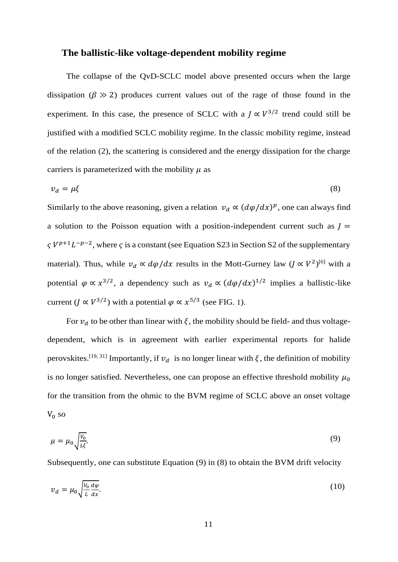#### **The ballistic-like voltage-dependent mobility regime**

The collapse of the QvD-SCLC model above presented occurs when the large dissipation ( $\beta \gg 2$ ) produces current values out of the rage of those found in the experiment. In this case, the presence of SCLC with a  $J \propto V^{3/2}$  trend could still be justified with a modified SCLC mobility regime. In the classic mobility regime, instead of the relation [\(2\),](#page-2-0) the scattering is considered and the energy dissipation for the charge carriers is parameterized with the mobility  $\mu$  as

<span id="page-10-1"></span>
$$
v_d = \mu \xi \tag{8}
$$

Similarly to the above reasoning, given a relation  $v_d \propto (d\varphi/dx)^p$ , one can always find a solution to the Poisson equation with a position-independent current such as  $$  $\zeta V^{p+1}L^{-p-2}$ , where  $\zeta$  is a constant (see Equation S23 in Section S2 of the supplementary material). Thus, while  $v_d \propto d\varphi/dx$  results in the Mott-Gurney law  $(J \propto V^2)^{[6]}$  with a potential  $\varphi \propto x^{3/2}$ , a dependency such as  $v_d \propto (d\varphi/dx)^{1/2}$  implies a ballistic-like current (*J*  $\propto$   $V^{3/2}$ ) with a potential  $\varphi \propto x^{5/3}$  (see [FIG.](#page-4-0) 1).

For  $v_d$  to be other than linear with  $\xi$ , the mobility should be field- and thus voltagedependent, which is in agreement with earlier experimental reports for halide perovskites.<sup>[19, 31]</sup> Importantly, if  $v_d$  is no longer linear with  $\xi$ , the definition of mobility is no longer satisfied. Nevertheless, one can propose an effective threshold mobility  $\mu_0$ for the transition from the ohmic to the BVM regime of SCLC above an onset voltage  $V_0$  so

<span id="page-10-0"></span>
$$
\mu = \mu_0 \sqrt{\frac{V_0}{L\xi}}.\tag{9}
$$

Subsequently, one can substitute Equation [\(9\)](#page-10-0) in [\(8\)](#page-10-1) to obtain the BVM drift velocity

<span id="page-10-2"></span>
$$
v_d = \mu_0 \sqrt{\frac{V_0}{L} \frac{d\varphi}{dx}}.\tag{10}
$$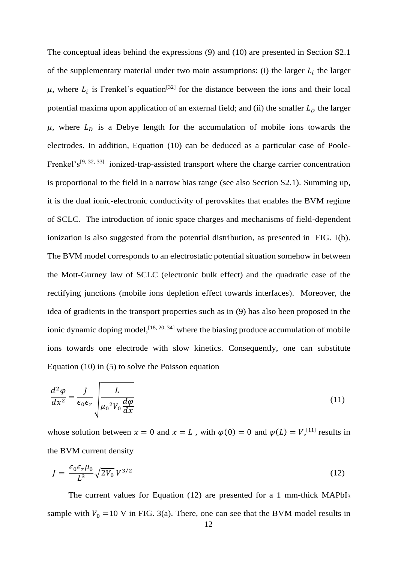The conceptual ideas behind the expressions [\(9\)](#page-10-0) and [\(10\)](#page-10-2) are presented in Section S2.1 of the supplementary material under two main assumptions: (i) the larger  $L_i$  the larger  $\mu$ , where  $L_i$  is Frenkel's equation<sup>[32]</sup> for the distance between the ions and their local potential maxima upon application of an external field; and (ii) the smaller  $L<sub>D</sub>$  the larger  $\mu$ , where  $L<sub>D</sub>$  is a Debye length for the accumulation of mobile ions towards the electrodes. In addition, Equation [\(10\)](#page-10-2) can be deduced as a particular case of Poole-Frenkel's<sup>[9, 32, 33]</sup> ionized-trap-assisted transport where the charge carrier concentration is proportional to the field in a narrow bias range (see also Section S2.1). Summing up, it is the dual ionic-electronic conductivity of perovskites that enables the BVM regime of SCLC. The introduction of ionic space charges and mechanisms of field-dependent ionization is also suggested from the potential distribution, as presented in [FIG.](#page-4-0) 1(b). The BVM model corresponds to an electrostatic potential situation somehow in between the Mott-Gurney law of SCLC (electronic bulk effect) and the quadratic case of the rectifying junctions (mobile ions depletion effect towards interfaces). Moreover, the idea of gradients in the transport properties such as in [\(9\)](#page-10-0) has also been proposed in the ionic dynamic doping model,  $[18, 20, 34]$  where the biasing produce accumulation of mobile ions towards one electrode with slow kinetics. Consequently, one can substitute Equation [\(10\)](#page-10-2) in [\(5\)](#page-8-1) to solve the Poisson equation

$$
\frac{d^2\varphi}{dx^2} = \frac{J}{\epsilon_0 \epsilon_r} \sqrt{\frac{L}{\mu_0^2 V_0 \frac{d\varphi}{dx}}}
$$
(11)

whose solution between  $x = 0$  and  $x = L$ , with  $\varphi(0) = 0$  and  $\varphi(L) = V$ , <sup>[11]</sup> results in the BVM current density

<span id="page-11-0"></span>
$$
J = \frac{\epsilon_0 \epsilon_r \mu_0}{L^3} \sqrt{2V_0} V^{3/2}
$$
\n
$$
(12)
$$

The current values for Equation [\(12\)](#page-11-0) are presented for a 1 mm-thick  $MAPbI<sub>3</sub>$ sample with  $V_0 = 10$  V in [FIG.](#page-13-0) 3(a). There, one can see that the BVM model results in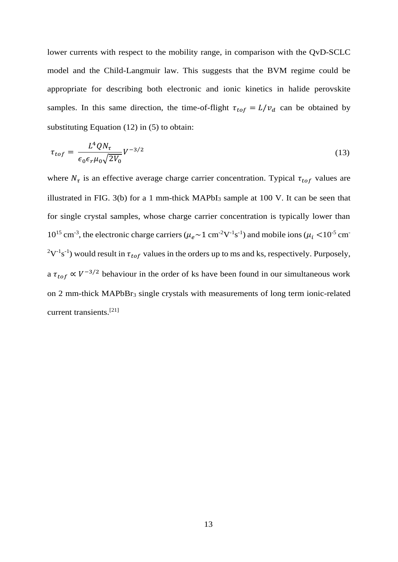lower currents with respect to the mobility range, in comparison with the QvD-SCLC model and the Child-Langmuir law. This suggests that the BVM regime could be appropriate for describing both electronic and ionic kinetics in halide perovskite samples. In this same direction, the time-of-flight  $\tau_{tof} = L/v_d$  can be obtained by substituting Equation [\(12\)](#page-11-0) in [\(5\)](#page-8-1) to obtain:

<span id="page-12-0"></span>
$$
\tau_{tof} = \frac{L^4 Q N_\tau}{\epsilon_0 \epsilon_r \mu_0 \sqrt{2V_0}} V^{-3/2}
$$
\n(13)

where  $N_{\tau}$  is an effective average charge carrier concentration. Typical  $\tau_{tof}$  values are illustrated in [FIG.](#page-13-0) 3(b) for a 1 mm-thick  $MAPbI<sub>3</sub>$  sample at 100 V. It can be seen that for single crystal samples, whose charge carrier concentration is typically lower than  $10^{15}$  cm<sup>-3</sup>, the electronic charge carriers ( $\mu_e \sim 1$  cm<sup>-2</sup>V<sup>-1</sup>s<sup>-1</sup>) and mobile ions ( $\mu_i$  <10<sup>-5</sup> cm<sup>-</sup>  $2V^{-1}s^{-1}$ ) would result in  $\tau_{tof}$  values in the orders up to ms and ks, respectively. Purposely, a  $\tau_{tof} \propto V^{-3/2}$  behaviour in the order of ks have been found in our simultaneous work on 2 mm-thick MAPbBr<sub>3</sub> single crystals with measurements of long term ionic-related current transients.[21]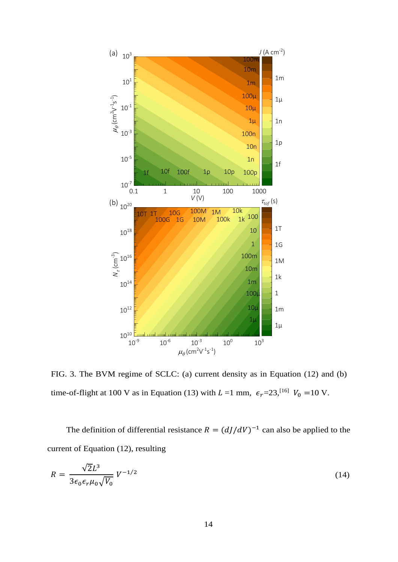

<span id="page-13-0"></span>FIG. 3. The BVM regime of SCLC: (a) current density as in Equation [\(12\)](#page-11-0) and (b) time-of-flight at 100 V as in Equation [\(13\)](#page-12-0) with  $L = 1$  mm,  $\epsilon_r = 23$ , <sup>[16]</sup>  $V_0 = 10$  V.

The definition of differential resistance  $R = (dJ/dV)^{-1}$  can also be applied to the current of Equation [\(12\),](#page-11-0) resulting

<span id="page-13-1"></span>
$$
R = \frac{\sqrt{2}L^3}{3\epsilon_0 \epsilon_r \mu_0 \sqrt{V_0}} V^{-1/2}
$$
\n(14)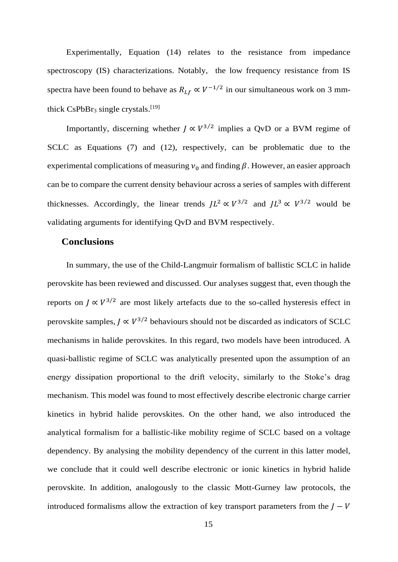Experimentally, Equation [\(14\)](#page-13-1) relates to the resistance from impedance spectroscopy (IS) characterizations. Notably, the low frequency resistance from IS spectra have been found to behave as  $R_{Lf} \propto V^{-1/2}$  in our simultaneous work on 3 mmthick CsPbBr<sub>3</sub> single crystals.<sup>[19]</sup>

Importantly, discerning whether  $J \propto V^{3/2}$  implies a QvD or a BVM regime of SCLC as Equations [\(7\)](#page-8-2) and [\(12\),](#page-11-0) respectively, can be problematic due to the experimental complications of measuring  $v_0$  and finding  $\beta$ . However, an easier approach can be to compare the current density behaviour across a series of samples with different thicknesses. Accordingly, the linear trends  $JL^2 \propto V^{3/2}$  and  $JL^3 \propto V^{3/2}$  would be validating arguments for identifying QvD and BVM respectively.

#### **Conclusions**

In summary, the use of the Child-Langmuir formalism of ballistic SCLC in halide perovskite has been reviewed and discussed. Our analyses suggest that, even though the reports on  $J \propto V^{3/2}$  are most likely artefacts due to the so-called hysteresis effect in perovskite samples,  $J \propto V^{3/2}$  behaviours should not be discarded as indicators of SCLC mechanisms in halide perovskites. In this regard, two models have been introduced. A quasi-ballistic regime of SCLC was analytically presented upon the assumption of an energy dissipation proportional to the drift velocity, similarly to the Stoke's drag mechanism. This model was found to most effectively describe electronic charge carrier kinetics in hybrid halide perovskites. On the other hand, we also introduced the analytical formalism for a ballistic-like mobility regime of SCLC based on a voltage dependency. By analysing the mobility dependency of the current in this latter model, we conclude that it could well describe electronic or ionic kinetics in hybrid halide perovskite. In addition, analogously to the classic Mott-Gurney law protocols, the introduced formalisms allow the extraction of key transport parameters from the  $$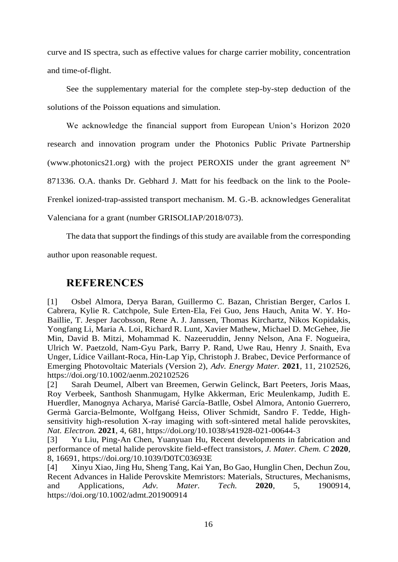curve and IS spectra, such as effective values for charge carrier mobility, concentration and time-of-flight.

See the supplementary material for the complete step-by-step deduction of the solutions of the Poisson equations and simulation.

We acknowledge the financial support from European Union's Horizon 2020 research and innovation program under the Photonics Public Private Partnership (www.photonics21.org) with the project PEROXIS under the grant agreement  $N^{\circ}$ 871336. O.A. thanks Dr. Gebhard J. Matt for his feedback on the link to the Poole-Frenkel ionized-trap-assisted transport mechanism. M. G.-B. acknowledges Generalitat Valenciana for a grant (number GRISOLIAP/2018/073).

The data that support the findings of this study are available from the corresponding author upon reasonable request.

## **REFERENCES**

[1] Osbel Almora, Derya Baran, Guillermo C. Bazan, Christian Berger, Carlos I. Cabrera, Kylie R. Catchpole, Sule Erten-Ela, Fei Guo, Jens Hauch, Anita W. Y. Ho-Baillie, T. Jesper Jacobsson, Rene A. J. Janssen, Thomas Kirchartz, Nikos Kopidakis, Yongfang Li, Maria A. Loi, Richard R. Lunt, Xavier Mathew, Michael D. McGehee, Jie Min, David B. Mitzi, Mohammad K. Nazeeruddin, Jenny Nelson, Ana F. Nogueira, Ulrich W. Paetzold, Nam-Gyu Park, Barry P. Rand, Uwe Rau, Henry J. Snaith, Eva Unger, Lídice Vaillant-Roca, Hin-Lap Yip, Christoph J. Brabec, Device Performance of Emerging Photovoltaic Materials (Version 2), *Adv. Energy Mater.* **2021**, 11, 2102526, https://doi.org/10.1002/aenm.202102526

[2] Sarah Deumel, Albert van Breemen, Gerwin Gelinck, Bart Peeters, Joris Maas, Roy Verbeek, Santhosh Shanmugam, Hylke Akkerman, Eric Meulenkamp, Judith E. Huerdler, Manognya Acharya, Marisé García-Batlle, Osbel Almora, Antonio Guerrero, Germà Garcia-Belmonte, Wolfgang Heiss, Oliver Schmidt, Sandro F. Tedde, Highsensitivity high-resolution X-ray imaging with soft-sintered metal halide perovskites, *Nat. Electron.* **2021**, 4, 681, https://doi.org/10.1038/s41928-021-00644-3

[3] Yu Liu, Ping-An Chen, Yuanyuan Hu, Recent developments in fabrication and performance of metal halide perovskite field-effect transistors, *J. Mater. Chem. C* **2020**, 8, 16691, https://doi.org/10.1039/D0TC03693E

[4] Xinyu Xiao, Jing Hu, Sheng Tang, Kai Yan, Bo Gao, Hunglin Chen, Dechun Zou, Recent Advances in Halide Perovskite Memristors: Materials, Structures, Mechanisms, and Applications, *Adv. Mater. Tech.* **2020**, 5, 1900914, https://doi.org/10.1002/admt.201900914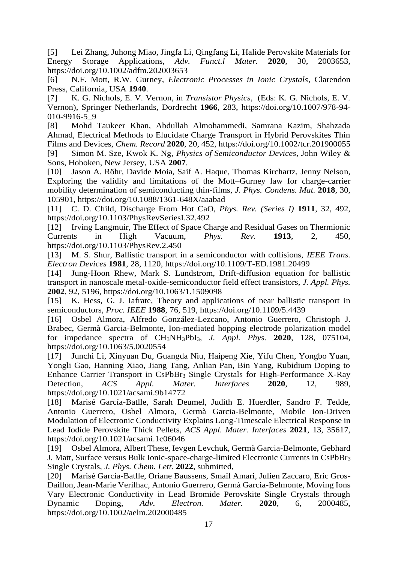[5] Lei Zhang, Juhong Miao, Jingfa Li, Qingfang Li, Halide Perovskite Materials for Energy Storage Applications, *Adv. Funct.l Mater.* **2020**, 30, 2003653, https://doi.org/10.1002/adfm.202003653

[6] N.F. Mott, R.W. Gurney, *Electronic Processes in Ionic Crystals*, Clarendon Press, California, USA **1940**.

[7] K. G. Nichols, E. V. Vernon, in *Transistor Physics*, (Eds: K. G. Nichols, E. V. Vernon), Springer Netherlands, Dordrecht **1966**, 283, https://doi.org/10.1007/978-94- 010-9916-5\_9

[8] Mohd Taukeer Khan, Abdullah Almohammedi, Samrana Kazim, Shahzada Ahmad, Electrical Methods to Elucidate Charge Transport in Hybrid Perovskites Thin Films and Devices, *Chem. Record* **2020**, 20, 452, https://doi.org/10.1002/tcr.201900055 [9] Simon M. Sze, Kwok K. Ng, *Physics of Semiconductor Devices*, John Wiley & Sons, Hoboken, New Jersey, USA **2007**.

[10] Jason A. Röhr, Davide Moia, Saif A. Haque, Thomas Kirchartz, Jenny Nelson, Exploring the validity and limitations of the Mott–Gurney law for charge-carrier mobility determination of semiconducting thin-films, *J. Phys. Condens. Mat.* **2018**, 30, 105901, https://doi.org/10.1088/1361-648X/aaabad

[11] C. D. Child, Discharge From Hot CaO, *Phys. Rev. (Series I)* **1911**, 32, 492, https://doi.org/10.1103/PhysRevSeriesI.32.492

[12] Irving Langmuir, The Effect of Space Charge and Residual Gases on Thermionic Currents in High Vacuum, *Phys. Rev.* **1913**, 2, 450, https://doi.org/10.1103/PhysRev.2.450

[13] M. S. Shur, Ballistic transport in a semiconductor with collisions, *IEEE Trans*. *Electron Devices* **1981**, 28, 1120, https://doi.org/10.1109/T-ED.1981.20499

[14] Jung-Hoon Rhew, Mark S. Lundstrom, Drift-diffusion equation for ballistic transport in nanoscale metal-oxide-semiconductor field effect transistors, *J. Appl. Phys.* **2002**, 92, 5196, https://doi.org/10.1063/1.1509098

[15] K. Hess, G. J. Iafrate, Theory and applications of near ballistic transport in semiconductors, *Proc. IEEE* **1988**, 76, 519, https://doi.org/10.1109/5.4439

[16] Osbel Almora, Alfredo González-Lezcano, Antonio Guerrero, Christoph J. Brabec, Germà Garcia-Belmonte, Ion-mediated hopping electrode polarization model for impedance spectra of CH3NH3PbI3, *J. Appl. Phys.* **2020**, 128, 075104, https://doi.org/10.1063/5.0020554

[17] Junchi Li, Xinyuan Du, Guangda Niu, Haipeng Xie, Yifu Chen, Yongbo Yuan, Yongli Gao, Hanning Xiao, Jiang Tang, Anlian Pan, Bin Yang, Rubidium Doping to Enhance Carrier Transport in CsPbBr<sup>3</sup> Single Crystals for High-Performance X-Ray Detection, *ACS Appl. Mater. Interfaces* **2020**, 12, 989, https://doi.org/10.1021/acsami.9b14772

[18] Marisé García-Batlle, Sarah Deumel, Judith E. Huerdler, Sandro F. Tedde, Antonio Guerrero, Osbel Almora, Germà Garcia-Belmonte, Mobile Ion-Driven Modulation of Electronic Conductivity Explains Long-Timescale Electrical Response in Lead Iodide Perovskite Thick Pellets, *ACS Appl. Mater. Interfaces* **2021**, 13, 35617, https://doi.org/10.1021/acsami.1c06046

[19] Osbel Almora, Albert These, Ievgen Levchuk, Germà Garcia-Belmonte, Gebhard J. Matt, Surface versus Bulk Ionic-space-charge-limited Electronic Currents in CsPbBr<sup>3</sup> Single Crystals, *J. Phys. Chem. Lett.* **2022**, submitted,

[20] Marisé García-Batlle, Oriane Baussens, Smaïl Amari, Julien Zaccaro, Eric Gros-Daillon, Jean-Marie Verilhac, Antonio Guerrero, Germà Garcia-Belmonte, Moving Ions Vary Electronic Conductivity in Lead Bromide Perovskite Single Crystals through Dynamic Doping, *Adv. Electron. Mater.* **2020**, 6, 2000485, https://doi.org/10.1002/aelm.202000485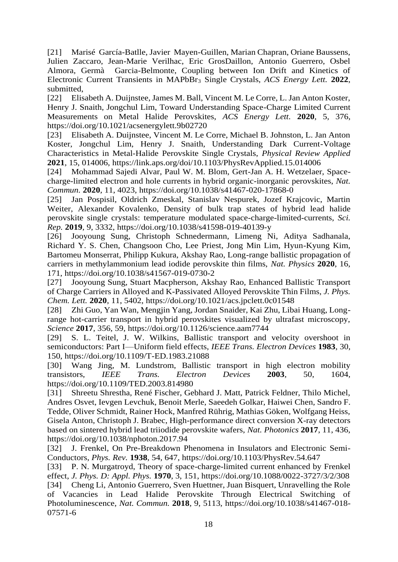[21] Marisé García-Batlle, Javier Mayen-Guillen, Marian Chapran, Oriane Baussens, Julien Zaccaro, Jean-Marie Verilhac, Eric GrosDaillon, Antonio Guerrero, Osbel Almora, Germà Garcia-Belmonte, Coupling between Ion Drift and Kinetics of Electronic Current Transients in MAPbBr<sup>3</sup> Single Crystals, *ACS Energy Lett.* **2022**, submitted,

[22] Elisabeth A. Duijnstee, James M. Ball, Vincent M. Le Corre, L. Jan Anton Koster, Henry J. Snaith, Jongchul Lim, Toward Understanding Space-Charge Limited Current Measurements on Metal Halide Perovskites, *ACS Energy Lett.* **2020**, 5, 376, https://doi.org/10.1021/acsenergylett.9b02720

[23] Elisabeth A. Duijnstee, Vincent M. Le Corre, Michael B. Johnston, L. Jan Anton Koster, Jongchul Lim, Henry J. Snaith, Understanding Dark Current-Voltage Characteristics in Metal-Halide Perovskite Single Crystals, *Physical Review Applied* **2021**, 15, 014006, https://link.aps.org/doi/10.1103/PhysRevApplied.15.014006

[24] Mohammad Sajedi Alvar, Paul W. M. Blom, Gert-Jan A. H. Wetzelaer, Spacecharge-limited electron and hole currents in hybrid organic-inorganic perovskites, *Nat. Commun.* **2020**, 11, 4023, https://doi.org/10.1038/s41467-020-17868-0

[25] Jan Pospisil, Oldrich Zmeskal, Stanislav Nespurek, Jozef Krajcovic, Martin Weiter, Alexander Kovalenko, Density of bulk trap states of hybrid lead halide perovskite single crystals: temperature modulated space-charge-limited-currents, *Sci. Rep.* **2019**, 9, 3332, https://doi.org/10.1038/s41598-019-40139-y

[26] Jooyoung Sung, Christoph Schnedermann, Limeng Ni, Aditya Sadhanala, Richard Y. S. Chen, Changsoon Cho, Lee Priest, Jong Min Lim, Hyun-Kyung Kim, Bartomeu Monserrat, Philipp Kukura, Akshay Rao, Long-range ballistic propagation of carriers in methylammonium lead iodide perovskite thin films, *Nat. Physics* **2020**, 16, 171, https://doi.org/10.1038/s41567-019-0730-2

[27] Jooyoung Sung, Stuart Macpherson, Akshay Rao, Enhanced Ballistic Transport of Charge Carriers in Alloyed and K-Passivated Alloyed Perovskite Thin Films, *J. Phys. Chem. Lett.* **2020**, 11, 5402, https://doi.org/10.1021/acs.jpclett.0c01548

[28] Zhi Guo, Yan Wan, Mengjin Yang, Jordan Snaider, Kai Zhu, Libai Huang, Longrange hot-carrier transport in hybrid perovskites visualized by ultrafast microscopy, *Science* **2017**, 356, 59, https://doi.org/10.1126/science.aam7744

[29] S. L. Teitel, J. W. Wilkins, Ballistic transport and velocity overshoot in semiconductors: Part I—Uniform field effects, *IEEE Trans. Electron Devices* **1983**, 30, 150, https://doi.org/10.1109/T-ED.1983.21088

[30] Wang Jing, M. Lundstrom, Ballistic transport in high electron mobility transistors, *IEEE Trans. Electron Devices* **2003**, 50, 1604, https://doi.org/10.1109/TED.2003.814980

[31] Shreetu Shrestha, René Fischer, Gebhard J. Matt, Patrick Feldner, Thilo Michel, Andres Osvet, Ievgen Levchuk, Benoit Merle, Saeedeh Golkar, Haiwei Chen, Sandro F. Tedde, Oliver Schmidt, Rainer Hock, Manfred Rührig, Mathias Göken, Wolfgang Heiss, Gisela Anton, Christoph J. Brabec, High-performance direct conversion X-ray detectors based on sintered hybrid lead triiodide perovskite wafers, *Nat. Photonics* **2017**, 11, 436, https://doi.org/10.1038/nphoton.2017.94

[32] J. Frenkel, On Pre-Breakdown Phenomena in Insulators and Electronic Semi-Conductors, *Phys. Rev.* **1938**, 54, 647, https://doi.org/10.1103/PhysRev.54.647

[33] P. N. Murgatroyd, Theory of space-charge-limited current enhanced by Frenkel effect, *J. Phys. D: Appl. Phys.* **1970**, 3, 151, https://doi.org/10.1088/0022-3727/3/2/308 [34] Cheng Li, Antonio Guerrero, Sven Huettner, Juan Bisquert, Unravelling the Role of Vacancies in Lead Halide Perovskite Through Electrical Switching of Photoluminescence, *Nat. Commun.* **2018**, 9, 5113, https://doi.org/10.1038/s41467-018- 07571-6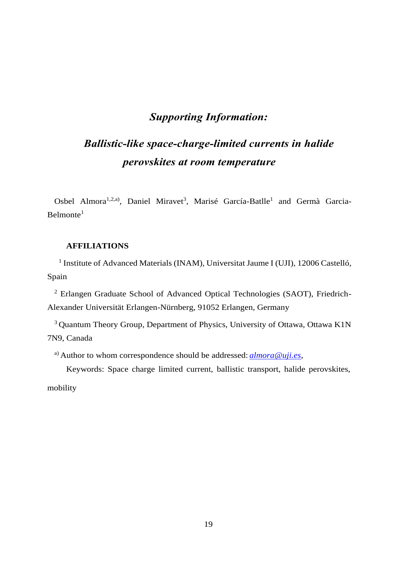## *Supporting Information:*

# *Ballistic-like space-charge-limited currents in halide perovskites at room temperature*

Osbel Almora<sup>1,2,a)</sup>, Daniel Miravet<sup>3</sup>, Marisé García-Batlle<sup>1</sup> and Germà Garcia- $Belmonte<sup>1</sup>$ 

### **AFFILIATIONS**

<sup>1</sup> Institute of Advanced Materials (INAM), Universitat Jaume I (UJI), 12006 Castelló, Spain

<sup>2</sup> Erlangen Graduate School of Advanced Optical Technologies (SAOT), Friedrich-Alexander Universität Erlangen-Nürnberg, 91052 Erlangen, Germany

<sup>3</sup> Quantum Theory Group, Department of Physics, University of Ottawa, Ottawa K1N 7N9, Canada

a) Author to whom correspondence should be addressed: *[almora@uji.es](mailto:almora@uji.es)*,

Keywords: Space charge limited current, ballistic transport, halide perovskites,

mobility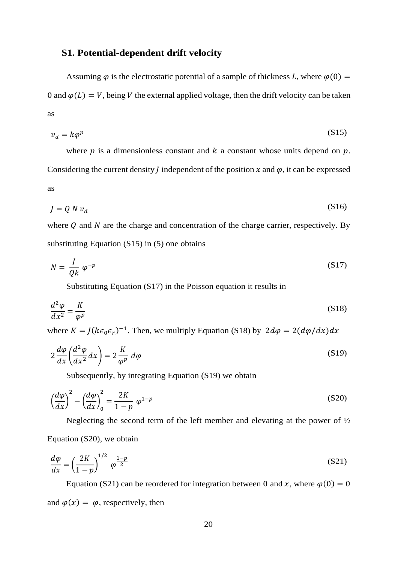## **S1. Potential-dependent drift velocity**

Assuming  $\varphi$  is the electrostatic potential of a sample of thickness L, where  $\varphi(0)$  = 0 and  $\varphi(L) = V$ , being V the external applied voltage, then the drift velocity can be taken as

<span id="page-19-0"></span>
$$
v_d = k\varphi^p \tag{S15}
$$

where  $p$  is a dimensionless constant and  $k$  a constant whose units depend on  $p$ . Considering the current density *J* independent of the position  $x$  and  $\varphi$ , it can be expressed as

$$
J = Q N v_d \tag{S16}
$$

where  $Q$  and  $N$  are the charge and concentration of the charge carrier, respectively. By substituting Equation [\(S15\)](#page-19-0) in [\(5\)](#page-8-1) one obtains

$$
N = \frac{J}{Qk} \varphi^{-p} \tag{S17}
$$

<span id="page-19-2"></span><span id="page-19-1"></span>Substituting Equation [\(S17\)](#page-19-1) in the Poisson equation it results in

$$
\frac{d^2\varphi}{dx^2} = \frac{K}{\varphi^p} \tag{S18}
$$

where  $K = J(k\epsilon_0 \epsilon_r)^{-1}$ . Then, we multiply Equation [\(S18\)](#page-19-2) by  $2d\varphi = 2(d\varphi/dx)dx$ 

$$
2\frac{d\varphi}{dx}\left(\frac{d^2\varphi}{dx^2}dx\right) = 2\frac{K}{\varphi^p}d\varphi\tag{S19}
$$

<span id="page-19-5"></span><span id="page-19-4"></span><span id="page-19-3"></span>Subsequently, by integrating Equation [\(S19\)](#page-19-3) we obtain

$$
\left(\frac{d\varphi}{dx}\right)^2 - \left(\frac{d\varphi}{dx}\right)^2_0 = \frac{2K}{1-p} \varphi^{1-p}
$$
\n(S20)

Neglecting the second term of the left member and elevating at the power of  $\frac{1}{2}$ Equation [\(S20\),](#page-19-4) we obtain

$$
\frac{d\varphi}{dx} = \left(\frac{2K}{1-p}\right)^{1/2} \varphi^{\frac{1-p}{2}}\tag{S21}
$$

Equation [\(S21\)](#page-19-5) can be reordered for integration between 0 and x, where  $\varphi(0) = 0$ and  $\varphi(x) = \varphi$ , respectively, then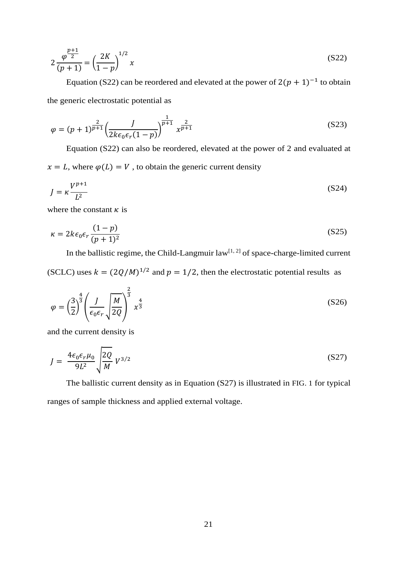<span id="page-20-0"></span>
$$
2\frac{\varphi^{\frac{p+1}{2}}}{(p+1)} = \left(\frac{2K}{1-p}\right)^{1/2}x
$$
\n(S22)

Equation [\(S22\)](#page-20-0) can be reordered and elevated at the power of  $2(p + 1)^{-1}$  to obtain the generic electrostatic potential as

$$
\varphi = (p+1)^{\frac{2}{p+1}} \left( \frac{J}{2k\epsilon_0 \epsilon_r (1-p)} \right)^{\frac{1}{p+1}} x^{\frac{2}{p+1}}
$$
(S23)

Equation [\(S22\)](#page-20-0) can also be reordered, elevated at the power of 2 and evaluated at  $x = L$ , where  $\varphi(L) = V$ , to obtain the generic current density

$$
J = \kappa \frac{V^{p+1}}{L^2} \tag{S24}
$$

where the constant  $\kappa$  is

$$
\kappa = 2k\epsilon_0 \epsilon_r \frac{(1-p)}{(p+1)^2} \tag{S25}
$$

In the ballistic regime, the Child-Langmuir  $law^{[1, 2]}$  of space-charge-limited current

(SCLC) uses  $k = (2Q/M)^{1/2}$  and  $p = 1/2$ , then the electrostatic potential results as

$$
\varphi = \left(\frac{3}{2}\right)^{\frac{4}{3}} \left(\frac{J}{\epsilon_0 \epsilon_r} \sqrt{\frac{M}{2Q}}\right)^{\frac{2}{3}} x^{\frac{4}{3}}
$$
\n(S26)

and the current density is

<span id="page-20-1"></span>
$$
J = \frac{4\epsilon_0 \epsilon_r \mu_0}{9L^2} \sqrt{\frac{2Q}{M}} V^{3/2}
$$
 (S27)

The ballistic current density as in Equation [\(S27\)](#page-20-1) is illustrated in [FIG.](#page-4-0) 1 for typical ranges of sample thickness and applied external voltage.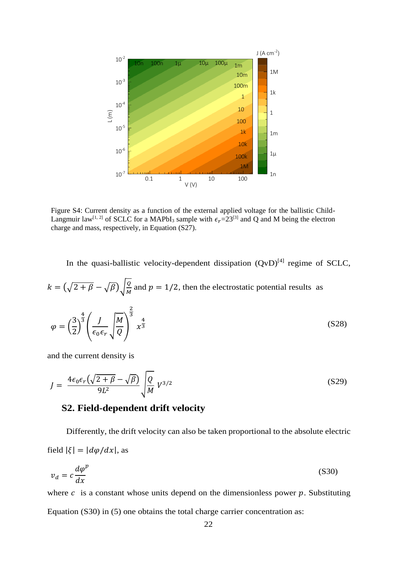

Figure S4: Current density as a function of the external applied voltage for the ballistic Child-Langmuir law<sup>[1, 2]</sup> of SCLC for a MAPbI<sub>3</sub> sample with  $\epsilon_r$ =23<sup>[3]</sup> and Q and M being the electron charge and mass, respectively, in Equation  $(S27)$ .

In the quasi-ballistic velocity-dependent dissipation  $(QvD)^{[4]}$  regime of SCLC,

$$
k = (\sqrt{2 + \beta} - \sqrt{\beta})\sqrt{\frac{q}{M}} \text{ and } p = 1/2 \text{, then the electrostatic potential results as}
$$
\n
$$
\varphi = \left(\frac{3}{2}\right)^{\frac{4}{3}} \left(\frac{J}{\epsilon_0 \epsilon_r} \sqrt{\frac{M}{Q}}\right)^{\frac{2}{3}} x^{\frac{4}{3}} \tag{S28}
$$

and the current density is

$$
J = \frac{4\epsilon_0 \epsilon_r \left(\sqrt{2+\beta} - \sqrt{\beta}\right)}{9L^2} \sqrt{\frac{Q}{M}} V^{3/2}
$$
\n(S29)

## <span id="page-21-0"></span>**S2. Field-dependent drift velocity**

Differently, the drift velocity can also be taken proportional to the absolute electric field  $|\xi| = |d\varphi/dx|$ , as

$$
v_d = c \frac{d\varphi^p}{dx} \tag{S30}
$$

where  $c$  is a constant whose units depend on the dimensionless power  $p$ . Substituting Equation [\(S30\)](#page-21-0) in [\(5\)](#page-8-1) one obtains the total charge carrier concentration as: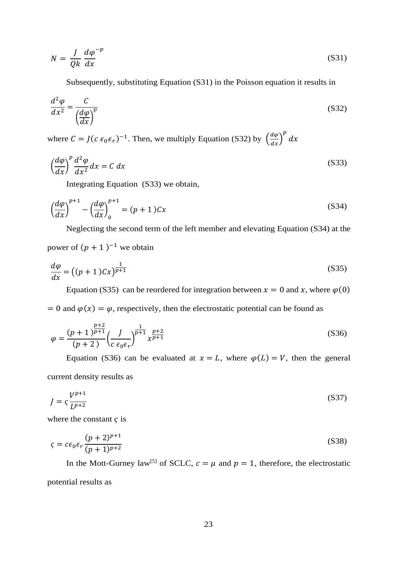$$
N = \frac{J}{Qk} \frac{d\varphi^{-p}}{dx}
$$
 (S31)

<span id="page-22-1"></span><span id="page-22-0"></span>Subsequently, substituting Equation [\(S31\)](#page-22-0) in the Poisson equation it results in

$$
\frac{d^2\varphi}{dx^2} = \frac{C}{\left(\frac{d\varphi}{dx}\right)^p}
$$
(S32)

where  $C = J(c \epsilon_0 \epsilon_r)^{-1}$ . Then, we multiply Equation [\(S32\)](#page-22-1) by  $\left(\frac{d\varphi}{dx}\right)^p dx$ 

$$
\left(\frac{d\varphi}{dx}\right)^{p} \frac{d^{2}\varphi}{dx^{2}} dx = C dx
$$
\n(S33)

<span id="page-22-3"></span><span id="page-22-2"></span>Integrating Equation [\(S33\)](#page-22-2) we obtain,

$$
\left(\frac{d\varphi}{dx}\right)^{p+1} - \left(\frac{d\varphi}{dx}\right)^{p+1} = (p+1)Cx\tag{S34}
$$

Neglecting the second term of the left member and elevating Equation [\(S34\)](#page-22-3) at the

power of  $(p + 1)^{-1}$  we obtain

$$
\frac{d\varphi}{dx} = \left( (p+1)Cx \right)^{\frac{1}{p+1}}\tag{S35}
$$

<span id="page-22-5"></span><span id="page-22-4"></span>Equation [\(S35\)](#page-22-4) can be reordered for integration between  $x = 0$  and x, where  $\varphi(0)$ 

 $= 0$  and  $\varphi(x) = \varphi$ , respectively, then the electrostatic potential can be found as

$$
\varphi = \frac{(p+1)^{\frac{p+2}{p+1}}}{(p+2)} \left(\frac{J}{c \epsilon_0 \epsilon_r}\right)^{\frac{1}{p+1}} x^{\frac{p+2}{p+1}}
$$
\n(S36)

Equation [\(S36\)](#page-22-5) can be evaluated at  $x = L$ , where  $\varphi(L) = V$ , then the general current density results as

$$
J = \zeta \frac{V^{p+1}}{L^{p+2}} \tag{S37}
$$

where the constant  $\zeta$  is

$$
\varsigma = c\epsilon_0 \epsilon_r \frac{(p+2)^{p+1}}{(p+1)^{p+2}}\tag{S38}
$$

In the Mott-Gurney law<sup>[5]</sup> of SCLC,  $c = \mu$  and  $p = 1$ , therefore, the electrostatic potential results as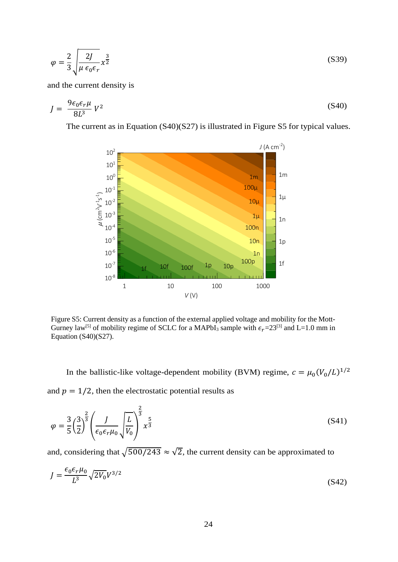$$
\varphi = \frac{2}{3} \sqrt{\frac{2J}{\mu \epsilon_0 \epsilon_r}} x^{\frac{3}{2}}
$$
\n(S39)

and the current density is

$$
J = \frac{9\epsilon_0 \epsilon_r \mu}{8L^3} V^2 \tag{S40}
$$

The current as in Equation [\(S40\)](#page-23-0)[\(S27\)](#page-20-1) is illustrated in [Figure S5](#page-23-1) for typical values.

<span id="page-23-0"></span>

<span id="page-23-1"></span>Figure S5: Current density as a function of the external applied voltage and mobility for the Mott-Gurney law<sup>[5]</sup> of mobility regime of SCLC for a MAPbI<sub>3</sub> sample with  $\epsilon_r$ =23<sup>[3]</sup> and L=1.0 mm in Equation  $(S40)(S27)$ .

In the ballistic-like voltage-dependent mobility (BVM) regime,  $c = \mu_0 (V_0/L)^{1/2}$ 

and  $p = 1/2$ , then the electrostatic potential results as

$$
\varphi = \frac{3}{5} \left(\frac{3}{2}\right)^{\frac{2}{3}} \left(\frac{J}{\epsilon_0 \epsilon_r \mu_0} \sqrt{\frac{L}{V_0}}\right)^{\frac{2}{3}} x^{\frac{5}{3}}
$$
\n(S41)

and, considering that  $\sqrt{500/243} \approx \sqrt{2}$ , the current density can be approximated to

$$
J = \frac{\epsilon_0 \epsilon_r \mu_0}{L^3} \sqrt{2V_0} V^{3/2}
$$
\n
$$
(S42)
$$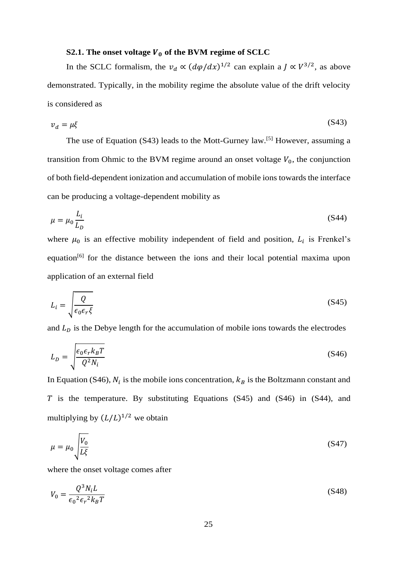#### <span id="page-24-0"></span>**S2.1.** The onset voltage  $V_0$  of the BVM regime of SCLC

In the SCLC formalism, the  $v_d \propto (d\varphi/dx)^{1/2}$  can explain a  $J \propto V^{3/2}$ , as above demonstrated. Typically, in the mobility regime the absolute value of the drift velocity is considered as

$$
v_d = \mu \xi \tag{S43}
$$

The use of Equation [\(S43\)](#page-24-0) leads to the Mott-Gurney law.<sup>[5]</sup> However, assuming a transition from Ohmic to the BVM regime around an onset voltage  $V_0$ , the conjunction of both field-dependent ionization and accumulation of mobile ions towards the interface can be producing a voltage-dependent mobility as

<span id="page-24-3"></span>
$$
\mu = \mu_0 \frac{L_i}{L_D} \tag{S44}
$$

where  $\mu_0$  is an effective mobility independent of field and position,  $L_i$  is Frenkel's equation[6] for the distance between the ions and their local potential maxima upon application of an external field

<span id="page-24-2"></span>
$$
L_i = \sqrt{\frac{Q}{\epsilon_0 \epsilon_r \xi}}
$$
 (S45)

and  $L<sub>D</sub>$  is the Debye length for the accumulation of mobile ions towards the electrodes

<span id="page-24-1"></span>
$$
L_D = \sqrt{\frac{\epsilon_0 \epsilon_r k_B T}{Q^2 N_i}}
$$
(S46)

In Equation [\(S46\),](#page-24-1)  $N_i$  is the mobile ions concentration,  $k_B$  is the Boltzmann constant and  $\overline{T}$  is the temperature. By substituting Equations [\(S45\)](#page-24-2) and [\(S46\)](#page-24-1) in [\(S44\),](#page-24-3) and multiplying by  $(L/L)^{1/2}$  we obtain

<span id="page-24-5"></span>
$$
\mu = \mu_0 \sqrt{\frac{V_0}{L\xi}}
$$
\n(S47)

where the onset voltage comes after

<span id="page-24-4"></span>
$$
V_0 = \frac{Q^3 N_i L}{\epsilon_0^2 \epsilon_r^2 k_B T}
$$
 (S48)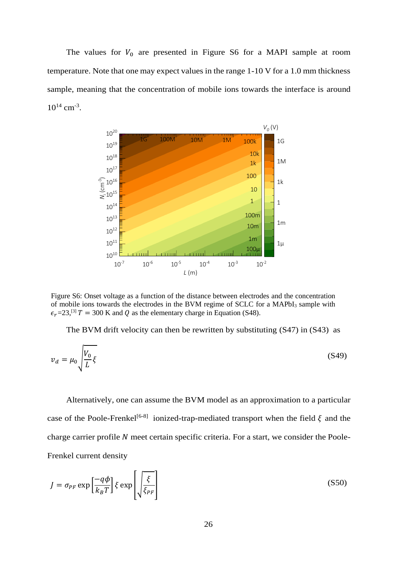The values for  $V_0$  are presented in [Figure S6](#page-25-0) for a MAPI sample at room temperature. Note that one may expect values in the range 1-10 V for a 1.0 mm thickness sample, meaning that the concentration of mobile ions towards the interface is around  $10^{14}$  cm<sup>-3</sup>.



<span id="page-25-0"></span>Figure S6: Onset voltage as a function of the distance between electrodes and the concentration of mobile ions towards the electrodes in the BVM regime of SCLC for a MAPbI<sub>3</sub> sample with  $\epsilon_r$ =23,<sup>[3]</sup>  $T = 300$  K and Q as the elementary charge in Equation [\(S48\).](#page-24-4)

<span id="page-25-2"></span>The BVM drift velocity can then be rewritten by substituting [\(S47\)](#page-24-5) in [\(S43\)](#page-24-0) as

$$
v_d = \mu_0 \sqrt{\frac{V_0}{L}} \xi \tag{S49}
$$

Alternatively, one can assume the BVM model as an approximation to a particular case of the Poole-Frenkel<sup>[6-8]</sup> ionized-trap-mediated transport when the field  $\xi$  and the charge carrier profile  $N$  meet certain specific criteria. For a start, we consider the Poole-Frenkel current density

<span id="page-25-1"></span>
$$
J = \sigma_{PF} \exp\left[\frac{-q\phi}{k_B T}\right] \xi \exp\left[\sqrt{\frac{\xi}{\xi_{PF}}}\right]
$$
 (S50)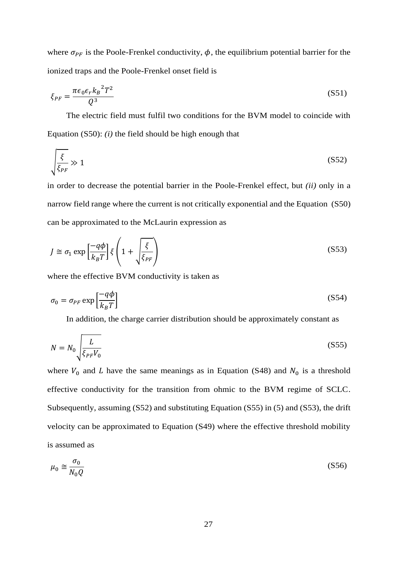where  $\sigma_{PF}$  is the Poole-Frenkel conductivity,  $\phi$ , the equilibrium potential barrier for the ionized traps and the Poole-Frenkel onset field is

$$
\xi_{PF} = \frac{\pi \epsilon_0 \epsilon_r k_B^2 T^2}{Q^3} \tag{S51}
$$

The electric field must fulfil two conditions for the BVM model to coincide with Equation [\(S50\):](#page-25-1) *(i)* the field should be high enough that

<span id="page-26-0"></span>
$$
\sqrt{\frac{\xi}{\xi_{PF}}} \gg 1 \tag{S52}
$$

in order to decrease the potential barrier in the Poole-Frenkel effect, but *(ii)* only in a narrow field range where the current is not critically exponential and the Equation [\(S50\)](#page-25-1) can be approximated to the McLaurin expression as

$$
J \cong \sigma_1 \exp\left[\frac{-q\phi}{k_B T}\right] \xi \left(1 + \sqrt{\frac{\xi}{\xi_{PF}}}\right) \tag{S53}
$$

where the effective BVM conductivity is taken as

$$
\sigma_0 = \sigma_{PF} \exp\left[\frac{-q\phi}{k_B T}\right] \tag{S54}
$$

<span id="page-26-2"></span><span id="page-26-1"></span>In addition, the charge carrier distribution should be approximately constant as

$$
N = N_0 \sqrt{\frac{L}{\xi_{PF} V_0}}
$$
 (S55)

where  $V_0$  and  $L$  have the same meanings as in Equation [\(S48\)](#page-24-4) and  $N_0$  is a threshold effective conductivity for the transition from ohmic to the BVM regime of SCLC. Subsequently, assuming [\(S52\)](#page-26-0) and substituting Equation [\(S55\)](#page-26-1) in [\(5\)](#page-8-1) and [\(S53\),](#page-26-2) the drift velocity can be approximated to Equation [\(S49\)](#page-25-2) where the effective threshold mobility is assumed as

$$
\mu_0 \cong \frac{\sigma_0}{N_0 Q} \tag{S56}
$$